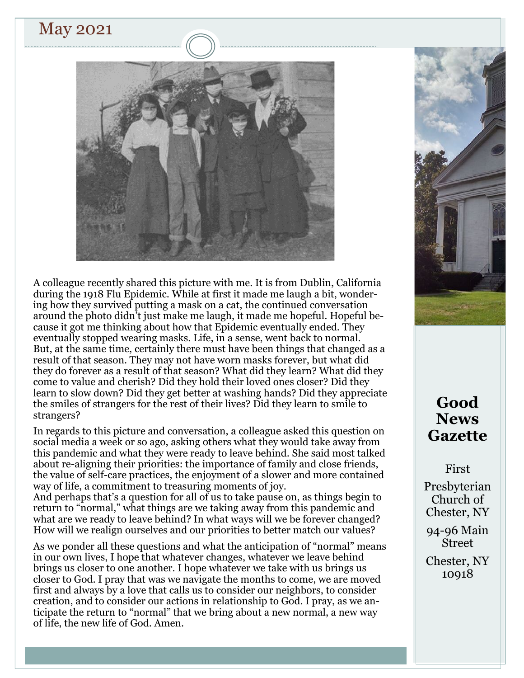# May 2021



A colleague recently shared this picture with me. It is from Dublin, California during the 1918 Flu Epidemic. While at first it made me laugh a bit, wondering how they survived putting a mask on a cat, the continued conversation around the photo didn't just make me laugh, it made me hopeful. Hopeful because it got me thinking about how that Epidemic eventually ended. They eventually stopped wearing masks. Life, in a sense, went back to normal. But, at the same time, certainly there must have been things that changed as a result of that season. They may not have worn masks forever, but what did they do forever as a result of that season? What did they learn? What did they come to value and cherish? Did they hold their loved ones closer? Did they learn to slow down? Did they get better at washing hands? Did they appreciate the smiles of strangers for the rest of their lives? Did they learn to smile to strangers?

In regards to this picture and conversation, a colleague asked this question on social media a week or so ago, asking others what they would take away from this pandemic and what they were ready to leave behind. She said most talked about re-aligning their priorities: the importance of family and close friends, the value of self-care practices, the enjoyment of a slower and more contained way of life, a commitment to treasuring moments of joy.

And perhaps that's a question for all of us to take pause on, as things begin to return to "normal," what things are we taking away from this pandemic and what are we ready to leave behind? In what ways will we be forever changed? How will we realign ourselves and our priorities to better match our values?

As we ponder all these questions and what the anticipation of "normal" means in our own lives, I hope that whatever changes, whatever we leave behind brings us closer to one another. I hope whatever we take with us brings us closer to God. I pray that was we navigate the months to come, we are moved first and always by a love that calls us to consider our neighbors, to consider creation, and to consider our actions in relationship to God. I pray, as we anticipate the return to "normal" that we bring about a new normal, a new way of life, the new life of God. Amen.



# **Good News Gazette**

First

Presbyterian Church of Chester, NY

94-96 Main Street

Chester, NY 10918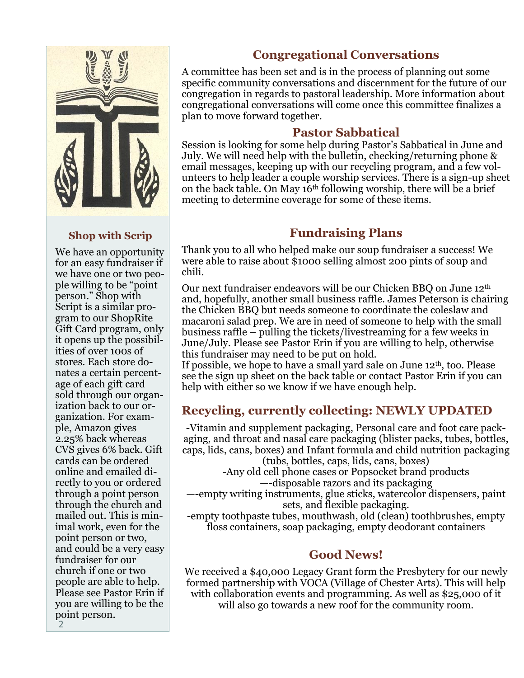

### **Shop with Scrip**

We have an opportunity for an easy fundraiser if we have one or two people willing to be "point person." Shop with Script is a similar program to our ShopRite Gift Card program, only it opens up the possibilities of over 100s of stores. Each store donates a certain percentage of each gift card sold through our organization back to our organization. For example, Amazon gives 2.25% back whereas CVS gives 6% back. Gift cards can be ordered online and emailed directly to you or ordered through a point person through the church and mailed out. This is minimal work, even for the point person or two, and could be a very easy fundraiser for our church if one or two people are able to help. Please see Pastor Erin if you are willing to be the point person.

## **Congregational Conversations**

A committee has been set and is in the process of planning out some specific community conversations and discernment for the future of our congregation in regards to pastoral leadership. More information about congregational conversations will come once this committee finalizes a plan to move forward together.

## **Pastor Sabbatical**

Session is looking for some help during Pastor's Sabbatical in June and July. We will need help with the bulletin, checking/returning phone & email messages, keeping up with our recycling program, and a few volunteers to help leader a couple worship services. There is a sign-up sheet on the back table. On May  $16<sup>th</sup>$  following worship, there will be a brief meeting to determine coverage for some of these items.

# **Fundraising Plans**

Thank you to all who helped make our soup fundraiser a success! We were able to raise about \$1000 selling almost 200 pints of soup and chili.

Our next fundraiser endeavors will be our Chicken BBQ on June 12th and, hopefully, another small business raffle. James Peterson is chairing the Chicken BBQ but needs someone to coordinate the coleslaw and macaroni salad prep. We are in need of someone to help with the small business raffle – pulling the tickets/livestreaming for a few weeks in June/July. Please see Pastor Erin if you are willing to help, otherwise this fundraiser may need to be put on hold.

If possible, we hope to have a small yard sale on June  $12<sup>th</sup>$ , too. Please see the sign up sheet on the back table or contact Pastor Erin if you can help with either so we know if we have enough help.

# **Recycling, currently collecting: NEWLY UPDATED**

-Vitamin and supplement packaging, Personal care and foot care packaging, and throat and nasal care packaging (blister packs, tubes, bottles, caps, lids, cans, boxes) and Infant formula and child nutrition packaging

(tubs, bottles, caps, lids, cans, boxes) -Any old cell phone cases or Popsocket brand products

—-disposable razors and its packaging

—-empty writing instruments, glue sticks, watercolor dispensers, paint sets, and flexible packaging.

-empty toothpaste tubes, mouthwash, old (clean) toothbrushes, empty floss containers, soap packaging, empty deodorant containers

# **Good News!**

We received a \$40,000 Legacy Grant form the Presbytery for our newly formed partnership with VOCA (Village of Chester Arts). This will help with collaboration events and programming. As well as \$25,000 of it will also go towards a new roof for the community room.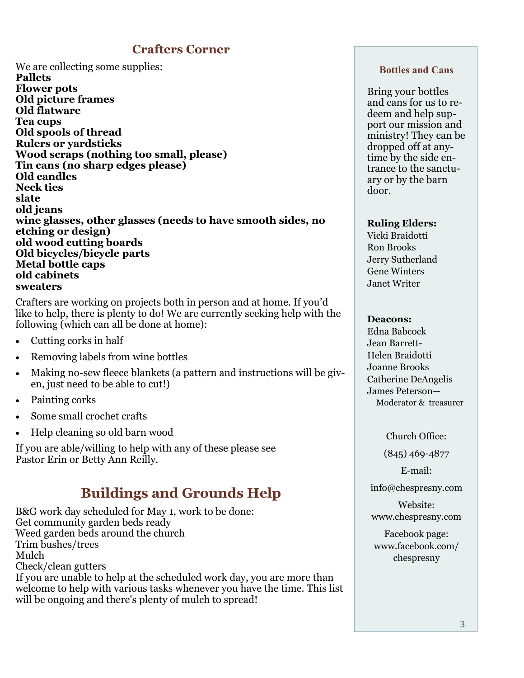# **Crafters Corner**

We are collecting some supplies: **Pallets Flower pots Old picture frames Old flatware Tea cups Old spools of thread Rulers or yardsticks Wood scraps (nothing too small, please) Tin cans (no sharp edges please) Old candles Neck ties slate old jeans wine glasses, other glasses (needs to have smooth sides, no etching or design) old wood cutting boards Old bicycles/bicycle parts Metal bottle caps old cabinets sweaters**

Crafters are working on projects both in person and at home. If you'd like to help, there is plenty to do! We are currently seeking help with the following (which can all be done at home):

- Cutting corks in half
- Removing labels from wine bottles
- Making no-sew fleece blankets (a pattern and instructions will be given, just need to be able to cut!)
- Painting corks
- Some small crochet crafts
- Help cleaning so old barn wood

If you are able/willing to help with any of these please see Pastor Erin or Betty Ann Reilly.

# **Buildings and Grounds Help**

B&G work day scheduled for May 1, work to be done: Get community garden beds ready Weed garden beds around the church Trim bushes/trees Mulch Check/clean gutters If you are unable to help at the scheduled work day, you are more than welcome to help with various tasks whenever you have the time. This list will be ongoing and there's plenty of mulch to spread!

#### **Bottles and Cans**

Bring your bottles and cans for us to redeem and help support our mission and ministry! They can be dropped off at anytime by the side entrance to the sanctuary or by the barn door.

#### **Ruling Elders:**

Vicki Braidotti Ron Brooks Jerry Sutherland Gene Winters Janet Writer

#### **Deacons:**

Edna Babcock Jean Barrett-Helen Braidotti Joanne Brooks Catherine DeAngelis James Peterson— Moderator & treasurer

Church Office:

(845) 469-4877

E-mail:

info@chespresny.com

Website: www.chespresny.com

Facebook page: www.facebook.com/ chespresny